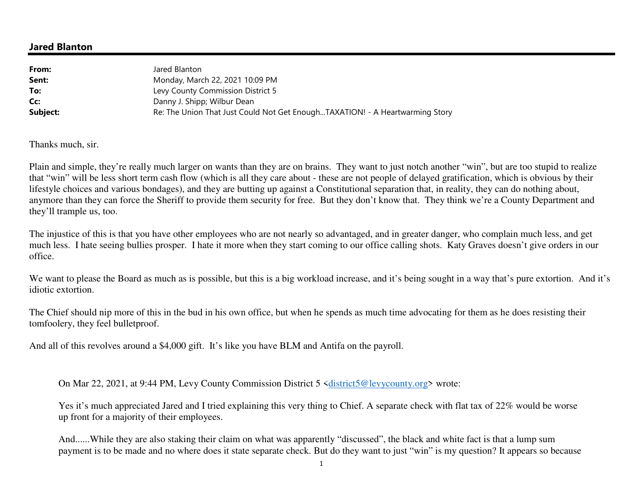## **Jared Blanton**

| From:    | Jared Blanton                                                                |
|----------|------------------------------------------------------------------------------|
| Sent:    | Monday, March 22, 2021 10:09 PM                                              |
| To:      | Levy County Commission District 5                                            |
| Cc:      | Danny J. Shipp; Wilbur Dean                                                  |
| Subject: | Re: The Union That Just Could Not Get EnoughTAXATION! - A Heartwarming Story |

Thanks much, sir.

Plain and simple, they're really much larger on wants than they are on brains. They want to just notch another "win", but are too stupid to realize that "win" will be less short term cash flow (which is all they care about - these are not people of delayed gratification, which is obvious by their lifestyle choices and various bondages), and they are butting up against a Constitutional separation that, in reality, they can do nothing about, anymore than they can force the Sheriff to provide them security for free. But they don't know that. They think we're a County Department and they'll trample us, too.

The injustice of this is that you have other employees who are not nearly so advantaged, and in greater danger, who complain much less, and get much less. I hate seeing bullies prosper. I hate it more when they start coming to our office calling shots. Katy Graves doesn't give orders in our office.

We want to please the Board as much as is possible, but this is a big workload increase, and it's being sought in a way that's pure extortion. And it's idiotic extortion.

The Chief should nip more of this in the bud in his own office, but when he spends as much time advocating for them as he does resisting their tomfoolery, they feel bulletproof.

And all of this revolves around a \$4,000 gift. It's like you have BLM and Antifa on the payroll.

On Mar 22, 2021, at 9:44 PM, Levy County Commission District 5 <district5@levycounty.org> wrote:

Yes it's much appreciated Jared and I tried explaining this very thing to Chief. A separate check with flat tax of 22% would be worse up front for a majority of their employees.

And......While they are also staking their claim on what was apparently "discussed", the black and white fact is that a lump sum payment is to be made and no where does it state separate check. But do they want to just "win" is my question? It appears so because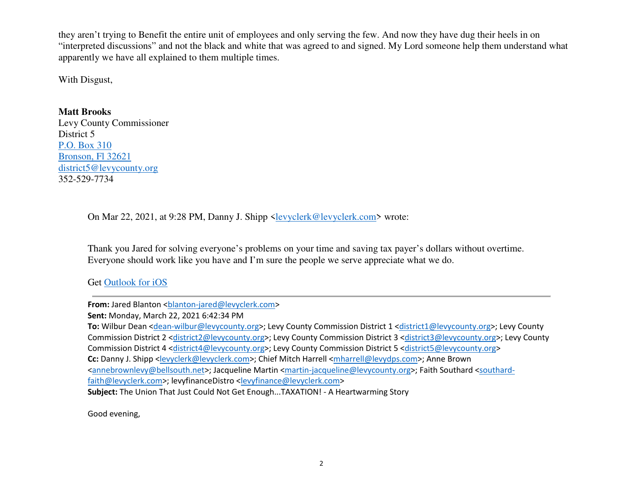they aren't trying to Benefit the entire unit of employees and only serving the few. And now they have dug their heels in on "interpreted discussions" and not the black and white that was agreed to and signed. My Lord someone help them understand what apparently we have all explained to them multiple times.

With Disgust,

## **Matt Brooks**

 Levy County Commissioner District 5 P.O. Box 310 Bronson, Fl 32621 district5@levycounty.org352-529-7734

On Mar 22, 2021, at 9:28 PM, Danny J. Shipp <levyclerk@levyclerk.com> wrote:

Thank you Jared for solving everyone's problems on your time and saving tax payer's dollars without overtime. Everyone should work like you have and I'm sure the people we serve appreciate what we do.

Get Outlook for iOS

**From:** Jared Blanton <br/>blanton-jared@levyclerk.com>

**Sent:** Monday, March 22, 2021 6:42:34 PM

**To:** Wilbur Dean <dean-wilbur@levycounty.org>; Levy County Commission District 1 <district1@levycounty.org>; Levy County Commission District 2 <district2@levycounty.org>; Levy County Commission District 3 <district3@levycounty.org>; Levy County Commission District 4 <district4@levycounty.org>; Levy County Commission District 5 <district5@levycounty.org> Cc: Danny J. Shipp <levyclerk@levyclerk.com>; Chief Mitch Harrell <mharrell@levydps.com>; Anne Brown <annebrownlevy@bellsouth.net>; Jacqueline Martin <martin-jacqueline@levycounty.org>; Faith Southard <southardfaith@levyclerk.com>; levyfinanceDistro <levyfinance@levyclerk.com> **Subject:** The Union That Just Could Not Get Enough...TAXATION! - A Heartwarming Story

Good evening,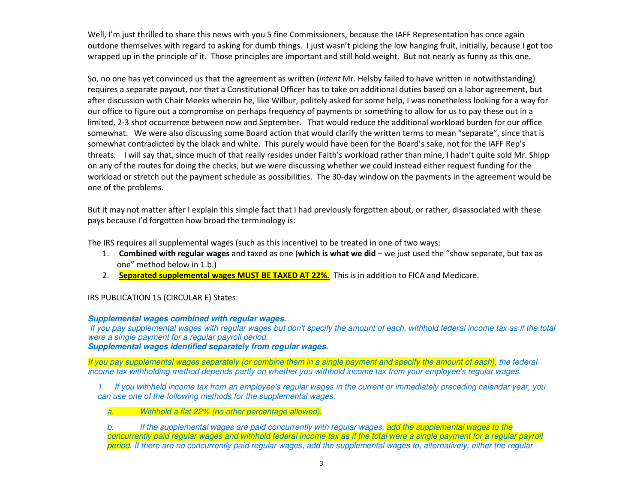Well, I'm just thrilled to share this news with you 5 fine Commissioners, because the IAFF Representation has once again outdone themselves with regard to asking for dumb things. I just wasn't picking the low hanging fruit, initially, because I got too wrapped up in the principle of it. Those principles are important and still hold weight. But not nearly as funny as this one.

So, no one has yet convinced us that the agreement as written (*intent* Mr. Helsby failed to have written in notwithstanding) requires a separate payout, nor that a Constitutional Officer has to take on additional duties based on a labor agreement, but after discussion with Chair Meeks wherein he, like Wilbur, politely asked for some help, I was nonetheless looking for a way for our office to figure out a compromise on perhaps frequency of payments or something to allow for us to pay these out in a limited, 2-3 shot occurrence between now and September. That would reduce the additional workload burden for our office somewhat. We were also discussing some Board action that would clarify the written terms to mean "separate", since that is somewhat contradicted by the black and white. This purely would have been for the Board's sake, not for the IAFF Rep's threats. I will say that, since much of that really resides under Faith's workload rather than mine, I hadn't quite sold Mr. Shipp on any of the routes for doing the checks, but we were discussing whether we could instead either request funding for the workload or stretch out the payment schedule as possibilities. The 30-day window on the payments in the agreement would be one of the problems.

But it may not matter after I explain this simple fact that I had previously forgotten about, or rather, disassociated with these pays because I'd forgotten how broad the terminology is:

The IRS requires all supplemental wages (such as this incentive) to be treated in one of two ways:

- 1. **Combined with regular wages** and taxed as one (**which is what we did** we just used the "show separate, but tax as one" method below in 1.b.)
- 2. **Separated supplemental wages MUST BE TAXED AT 22%.** This is in addition to FICA and Medicare.

## IRS PUBLICATION 15 (CIRCULAR E) States:

## **Supplemental wages combined with regular wages.**

 If you pay supplemental wages with regular wages but don't specify the amount of each, withhold federal income tax as if the total were a single payment for a regular payroll period.

**Supplemental wages identified separately from regular wages.**

If you pay supplemental wages separately (or combine them in a single payment and specify the amount of each), the federal income tax withholding method depends partly on whether you withhold income tax from your employee's regular wages.

1. If you withheld income tax from an employee's regular wages in the current or immediately preceding calendar year, you can use one of the following methods for the supplemental wages.

a.Withhold a flat 22% (no other percentage allowed).

b. If the supplemental wages are paid concurrently with regular wages, add the supplemental wages to the concurrently paid regular wages and withhold federal income tax as if the total were a single payment for a regular payroll period. If there are no concurrently paid regular wages, add the supplemental wages to, alternatively, either the regular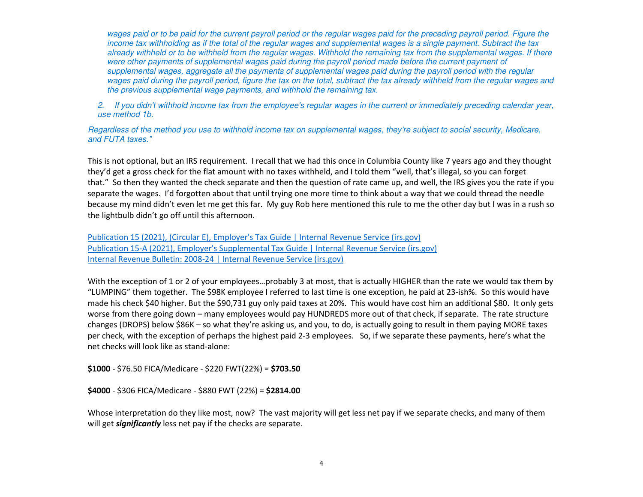wages paid or to be paid for the current payroll period or the regular wages paid for the preceding payroll period. Figure the income tax withholding as if the total of the regular wages and supplemental wages is a single payment. Subtract the tax already withheld or to be withheld from the regular wages. Withhold the remaining tax from the supplemental wages. If there were other payments of supplemental wages paid during the payroll period made before the current payment of supplemental wages, aggregate all the payments of supplemental wages paid during the payroll period with the regular wages paid during the payroll period, figure the tax on the total, subtract the tax already withheld from the regular wages and the previous supplemental wage payments, and withhold the remaining tax.

2. If you didn't withhold income tax from the employee's regular wages in the current or immediately preceding calendar year, use method 1b.

Regardless of the method you use to withhold income tax on supplemental wages, they're subject to social security, Medicare, and FUTA taxes."

This is not optional, but an IRS requirement. I recall that we had this once in Columbia County like 7 years ago and they thought they'd get a gross check for the flat amount with no taxes withheld, and I told them "well, that's illegal, so you can forget that." So then they wanted the check separate and then the question of rate came up, and well, the IRS gives you the rate if you separate the wages. I'd forgotten about that until trying one more time to think about a way that we could thread the needle because my mind didn't even let me get this far. My guy Rob here mentioned this rule to me the other day but I was in a rush so the lightbulb didn't go off until this afternoon.

Publication 15 (2021), (Circular E), Employer's Tax Guide | Internal Revenue Service (irs.gov)Publication 15-A (2021), Employer's Supplemental Tax Guide | Internal Revenue Service (irs.gov)Internal Revenue Bulletin: 2008-24 | Internal Revenue Service (irs.gov)

With the exception of 1 or 2 of your employees...probably 3 at most, that is actually HIGHER than the rate we would tax them by "LUMPING" them together. The \$98K employee I referred to last time is one exception, he paid at 23-ish%. So this would have made his check \$40 higher. But the \$90,731 guy only paid taxes at 20%. This would have cost him an additional \$80. It only gets worse from there going down – many employees would pay HUNDREDS more out of that check, if separate. The rate structure changes (DROPS) below \$86K – so what they're asking us, and you, to do, is actually going to result in them paying MORE taxes per check, with the exception of perhaps the highest paid 2-3 employees. So, if we separate these payments, here's what the net checks will look like as stand-alone:

**\$1000** - \$76.50 FICA/Medicare - \$220 FWT(22%) = **\$703.50**

**\$4000** - \$306 FICA/Medicare - \$880 FWT (22%) = **\$2814.00**

Whose interpretation do they like most, now? The vast majority will get less net pay if we separate checks, and many of them will get *significantly* less net pay if the checks are separate.